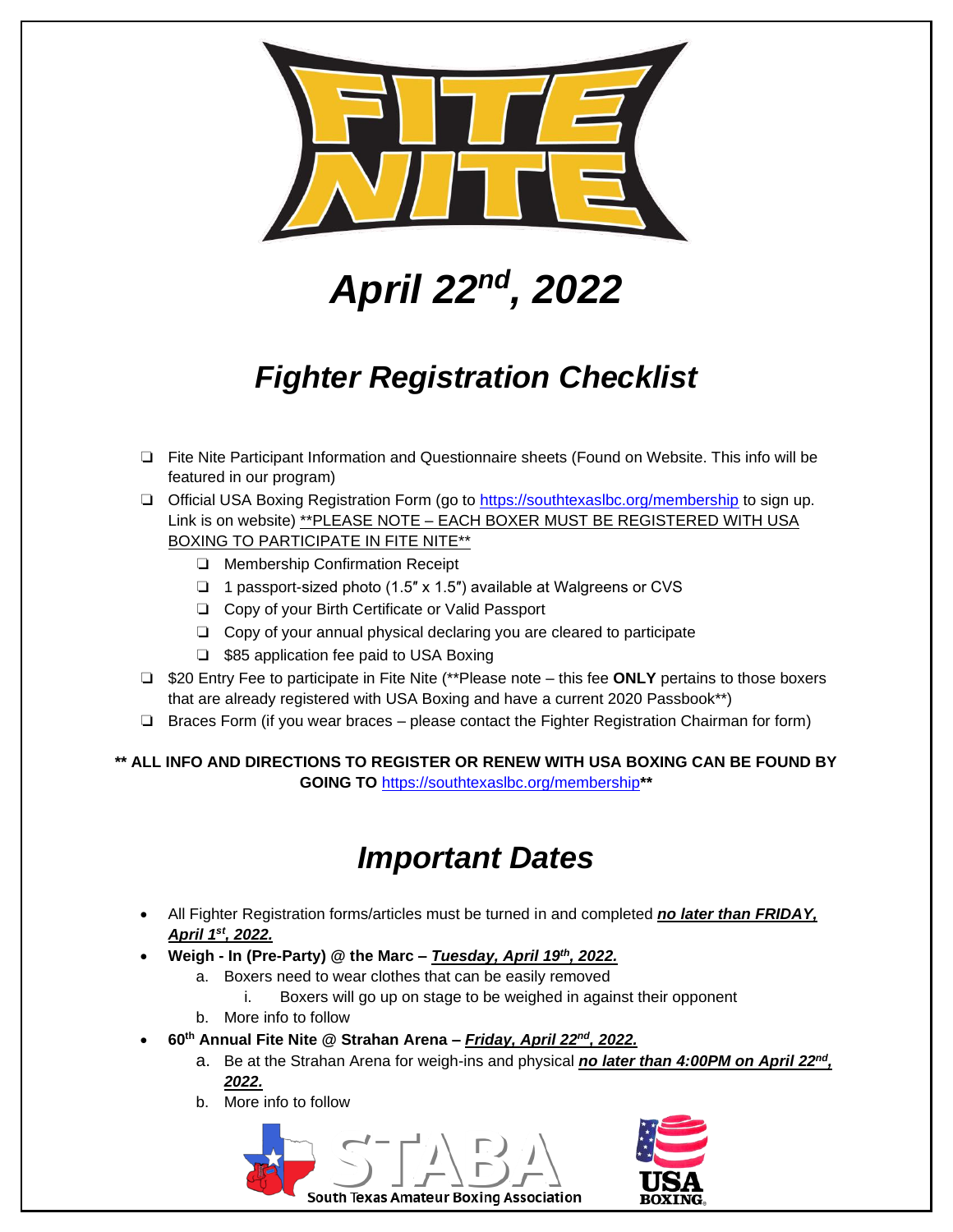

## *April 22nd, 2022*

## *Fighter Registration Checklist*

- ❏ Fite Nite Participant Information and Questionnaire sheets (Found on Website. This info will be featured in our program)
- ❏ Official USA Boxing Registration Form (go to<https://southtexaslbc.org/membership> to sign up. Link is on website) \*\* PLEASE NOTE - EACH BOXER MUST BE REGISTERED WITH USA BOXING TO PARTICIPATE IN FITE NITE\*\*
	- ❏ Membership Confirmation Receipt
	- ❏ 1 passport-sized photo (1.5″ x 1.5″) available at Walgreens or CVS
	- ❏ Copy of your Birth Certificate or Valid Passport
	- ❏ Copy of your annual physical declaring you are cleared to participate
	- ❏ \$85 application fee paid to USA Boxing
- ❏ \$20 Entry Fee to participate in Fite Nite (\*\*Please note this fee **ONLY** pertains to those boxers that are already registered with USA Boxing and have a current 2020 Passbook\*\*)
- ❏ Braces Form (if you wear braces please contact the Fighter Registration Chairman for form)

**\*\* ALL INFO AND DIRECTIONS TO REGISTER OR RENEW WITH USA BOXING CAN BE FOUND BY GOING TO** <https://southtexaslbc.org/membership>**\*\***

## *Important Dates*

- All Fighter Registration forms/articles must be turned in and completed *no later than FRIDAY, April 1st, 2022.*
- **Weigh - In (Pre-Party) @ the Marc –** *Tuesday, April 19 th, 2022.*
	- a. Boxers need to wear clothes that can be easily removed
		- i. Boxers will go up on stage to be weighed in against their opponent
	- b. More info to follow
- **60th Annual Fite Nite @ Strahan Arena –** *Friday, April 22nd, 2022.*
	- a. Be at the Strahan Arena for weigh-ins and physical *no later than 4:00PM on April 22nd , 2022.*
	- b. More info to follow